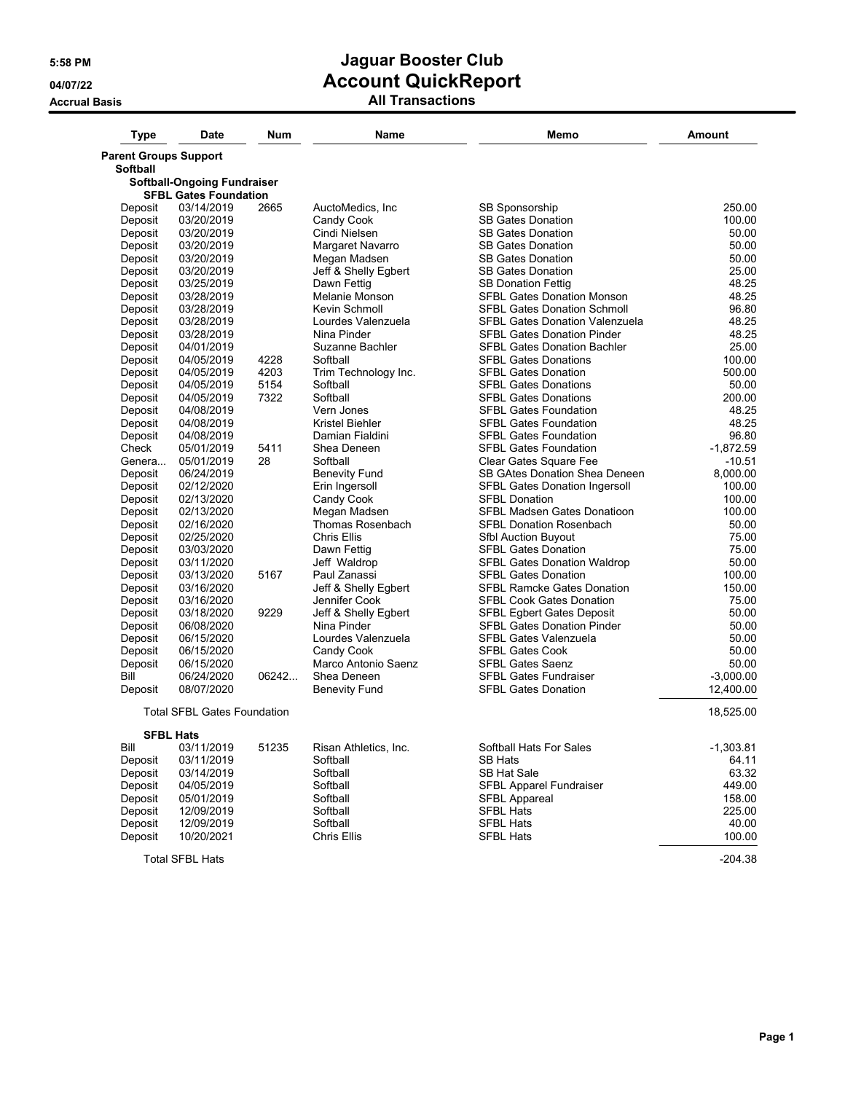| <b>Type</b>                  | <b>Date</b>                        | Num   | Name                    | Memo                                  | <b>Amount</b> |
|------------------------------|------------------------------------|-------|-------------------------|---------------------------------------|---------------|
| <b>Parent Groups Support</b> |                                    |       |                         |                                       |               |
| <b>Softball</b>              |                                    |       |                         |                                       |               |
|                              | Softball-Ongoing Fundraiser        |       |                         |                                       |               |
|                              | <b>SFBL Gates Foundation</b>       |       |                         |                                       |               |
| Deposit                      | 03/14/2019                         | 2665  | AuctoMedics, Inc.       | SB Sponsorship                        | 250.00        |
| Deposit                      | 03/20/2019                         |       | Candy Cook              | <b>SB Gates Donation</b>              | 100.00        |
| Deposit                      | 03/20/2019                         |       | Cindi Nielsen           | <b>SB Gates Donation</b>              | 50.00         |
| Deposit                      | 03/20/2019                         |       | Margaret Navarro        | <b>SB Gates Donation</b>              | 50.00         |
| Deposit                      | 03/20/2019                         |       | Megan Madsen            | <b>SB Gates Donation</b>              | 50.00         |
| Deposit                      | 03/20/2019                         |       | Jeff & Shelly Egbert    | <b>SB Gates Donation</b>              | 25.00         |
| Deposit                      | 03/25/2019                         |       | Dawn Fettig             | <b>SB Donation Fettig</b>             | 48.25         |
| Deposit                      | 03/28/2019                         |       | Melanie Monson          | <b>SFBL Gates Donation Monson</b>     | 48.25         |
| Deposit                      | 03/28/2019                         |       | Kevin Schmoll           | <b>SFBL Gates Donation Schmoll</b>    | 96.80         |
| Deposit                      | 03/28/2019                         |       | Lourdes Valenzuela      | <b>SFBL Gates Donation Valenzuela</b> | 48.25         |
| Deposit                      | 03/28/2019                         |       | Nina Pinder             | <b>SFBL Gates Donation Pinder</b>     | 48.25         |
| Deposit                      | 04/01/2019                         |       | Suzanne Bachler         | <b>SFBL Gates Donation Bachler</b>    | 25.00         |
| Deposit                      | 04/05/2019                         | 4228  | Softball                | <b>SFBL Gates Donations</b>           | 100.00        |
| Deposit                      | 04/05/2019                         | 4203  | Trim Technology Inc.    | <b>SFBL Gates Donation</b>            | 500.00        |
| Deposit                      | 04/05/2019                         | 5154  | Softball                | <b>SFBL Gates Donations</b>           | 50.00         |
| Deposit                      | 04/05/2019                         | 7322  | Softball                | <b>SFBL Gates Donations</b>           | 200.00        |
| Deposit                      | 04/08/2019                         |       | Vern Jones              | <b>SFBL Gates Foundation</b>          | 48.25         |
| Deposit                      | 04/08/2019                         |       | Kristel Biehler         | <b>SFBL Gates Foundation</b>          | 48.25         |
| Deposit                      | 04/08/2019                         |       | Damian Fialdini         | <b>SFBL Gates Foundation</b>          | 96.80         |
| Check                        | 05/01/2019                         | 5411  | Shea Deneen             | <b>SFBL Gates Foundation</b>          | $-1,872.59$   |
| Genera                       | 05/01/2019                         | 28    | Softball                | Clear Gates Square Fee                | $-10.51$      |
| Deposit                      | 06/24/2019                         |       | <b>Benevity Fund</b>    | SB GAtes Donation Shea Deneen         | 8,000.00      |
| Deposit                      | 02/12/2020                         |       | Erin Ingersoll          | <b>SFBL Gates Donation Ingersoll</b>  | 100.00        |
| Deposit                      | 02/13/2020                         |       | Candy Cook              | <b>SFBL Donation</b>                  | 100.00        |
| Deposit                      | 02/13/2020                         |       | Megan Madsen            | SFBL Madsen Gates Donatioon           | 100.00        |
| Deposit                      | 02/16/2020                         |       | <b>Thomas Rosenbach</b> | <b>SFBL Donation Rosenbach</b>        | 50.00         |
| Deposit                      | 02/25/2020                         |       | Chris Ellis             | Sfbl Auction Buyout                   | 75.00         |
| Deposit                      | 03/03/2020                         |       | Dawn Fettig             | <b>SFBL Gates Donation</b>            | 75.00         |
| Deposit                      | 03/11/2020                         |       | Jeff Waldrop            | <b>SFBL Gates Donation Waldrop</b>    | 50.00         |
| Deposit                      | 03/13/2020                         | 5167  | Paul Zanassi            | <b>SFBL Gates Donation</b>            | 100.00        |
| Deposit                      | 03/16/2020                         |       | Jeff & Shelly Egbert    | <b>SFBL Ramcke Gates Donation</b>     | 150.00        |
| Deposit                      | 03/16/2020                         |       | Jennifer Cook           | <b>SFBL Cook Gates Donation</b>       | 75.00         |
| Deposit                      | 03/18/2020                         | 9229  | Jeff & Shelly Egbert    | <b>SFBL Egbert Gates Deposit</b>      | 50.00         |
| Deposit                      | 06/08/2020                         |       | Nina Pinder             | <b>SFBL Gates Donation Pinder</b>     | 50.00         |
| Deposit                      | 06/15/2020                         |       | Lourdes Valenzuela      | <b>SFBL Gates Valenzuela</b>          | 50.00         |
| Deposit                      | 06/15/2020                         |       | Candy Cook              | <b>SFBL Gates Cook</b>                | 50.00         |
| Deposit                      | 06/15/2020                         |       | Marco Antonio Saenz     | <b>SFBL Gates Saenz</b>               | 50.00         |
| Bill                         | 06/24/2020                         | 06242 | Shea Deneen             | <b>SFBL Gates Fundraiser</b>          | $-3,000.00$   |
| Deposit                      | 08/07/2020                         |       | <b>Benevity Fund</b>    | <b>SFBL Gates Donation</b>            | 12,400.00     |
|                              | <b>Total SFBL Gates Foundation</b> |       |                         |                                       | 18,525.00     |
|                              | <b>SFBL Hats</b>                   |       |                         |                                       |               |
| Bill                         | 03/11/2019                         | 51235 | Risan Athletics, Inc.   | Softball Hats For Sales               | $-1,303.81$   |
| Deposit                      | 03/11/2019                         |       | Softball                | <b>SB Hats</b>                        | 64.11         |
| Deposit                      | 03/14/2019                         |       | Softball                | <b>SB Hat Sale</b>                    | 63.32         |
| Deposit                      | 04/05/2019                         |       | Softball                | SFBL Apparel Fundraiser               | 449.00        |
| Deposit                      | 05/01/2019                         |       | Softball                | <b>SFBL Appareal</b>                  | 158.00        |
| Deposit                      | 12/09/2019                         |       | Softball                | <b>SFBL Hats</b>                      | 225.00        |
| Deposit                      | 12/09/2019                         |       | Softball                | <b>SFBL Hats</b>                      | 40.00         |
| Deposit                      | 10/20/2021                         |       | Chris Ellis             | <b>SFBL Hats</b>                      | 100.00        |
|                              | <b>Total SFBL Hats</b>             |       |                         |                                       | $-204.38$     |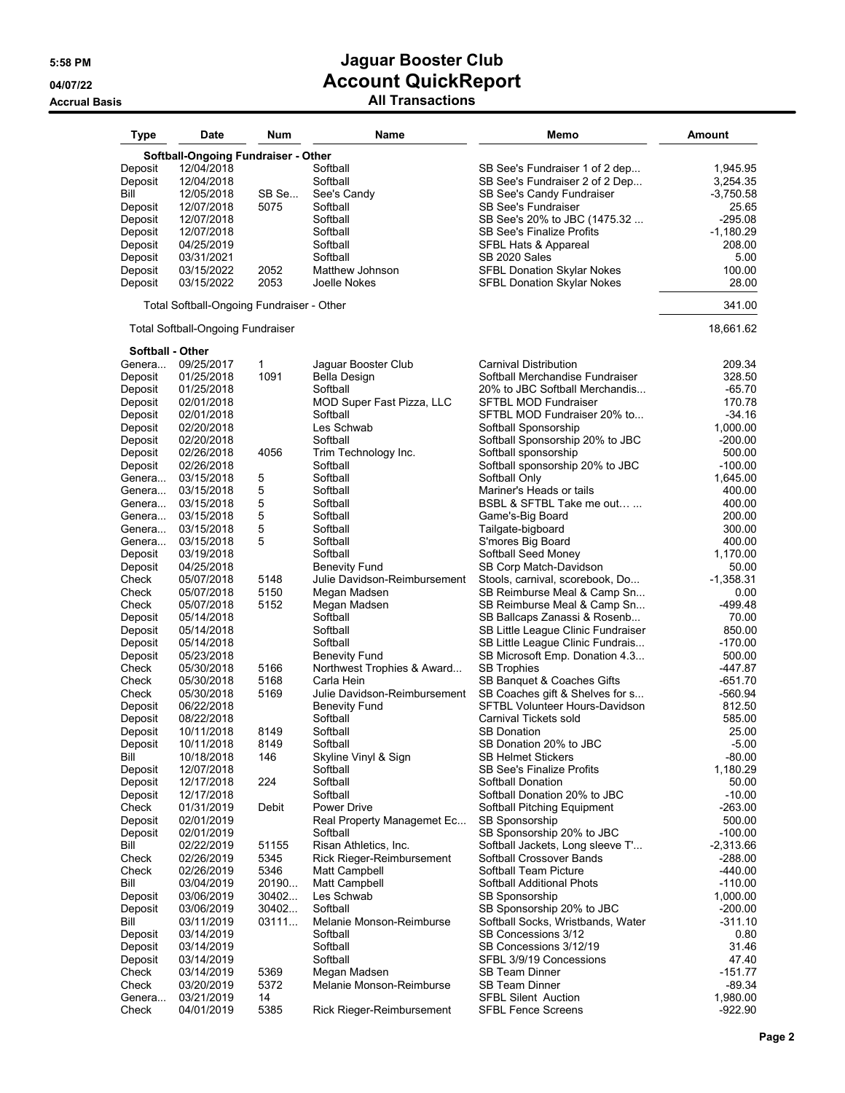| <b>Type</b>                         | <b>Date</b>                               | <b>Num</b>   | Name                                       | Memo                                              | <b>Amount</b>          |
|-------------------------------------|-------------------------------------------|--------------|--------------------------------------------|---------------------------------------------------|------------------------|
| Softball-Ongoing Fundraiser - Other |                                           |              |                                            |                                                   |                        |
| Deposit                             | 12/04/2018                                |              | Softball                                   | SB See's Fundraiser 1 of 2 dep                    | 1.945.95               |
| Deposit                             | 12/04/2018                                |              | Softball                                   | SB See's Fundraiser 2 of 2 Dep                    | 3,254.35               |
| Bill                                | 12/05/2018                                | SB Se        | See's Candy                                | SB See's Candy Fundraiser                         | $-3,750.58$            |
| Deposit                             | 12/07/2018                                | 5075         | Softball                                   | <b>SB See's Fundraiser</b>                        | 25.65                  |
| Deposit                             | 12/07/2018                                |              | Softball                                   | SB See's 20% to JBC (1475.32                      | $-295.08$              |
| Deposit                             | 12/07/2018                                |              | Softball                                   | <b>SB See's Finalize Profits</b>                  | -1,180.29              |
| Deposit                             | 04/25/2019                                |              | Softball                                   | SFBL Hats & Appareal                              | 208.00                 |
| Deposit                             | 03/31/2021                                |              | Softball                                   | SB 2020 Sales                                     | 5.00                   |
| Deposit                             | 03/15/2022                                | 2052         | Matthew Johnson                            | <b>SFBL Donation Skylar Nokes</b>                 | 100.00                 |
| Deposit                             | 03/15/2022                                | 2053         | Joelle Nokes                               | <b>SFBL Donation Skylar Nokes</b>                 | 28.00                  |
|                                     | Total Softball-Ongoing Fundraiser - Other |              |                                            |                                                   | 341.00                 |
|                                     | <b>Total Softball-Ongoing Fundraiser</b>  |              |                                            |                                                   | 18,661.62              |
| <b>Softball - Other</b>             |                                           |              |                                            |                                                   |                        |
| Genera                              | 09/25/2017                                | 1            | Jaguar Booster Club                        | <b>Carnival Distribution</b>                      | 209.34                 |
| Deposit                             | 01/25/2018                                | 1091         | <b>Bella Design</b>                        | Softball Merchandise Fundraiser                   | 328.50                 |
| Deposit                             | 01/25/2018                                |              | Softball                                   | 20% to JBC Softball Merchandis                    | $-65.70$               |
| Deposit                             | 02/01/2018                                |              | MOD Super Fast Pizza, LLC                  | <b>SFTBL MOD Fundraiser</b>                       | 170.78                 |
| Deposit                             | 02/01/2018                                |              | Softball                                   | SFTBL MOD Fundraiser 20% to                       | $-34.16$               |
| Deposit                             | 02/20/2018                                |              | Les Schwab                                 | Softball Sponsorship                              | 1,000.00               |
| Deposit                             | 02/20/2018                                |              | Softball                                   | Softball Sponsorship 20% to JBC                   | $-200.00$              |
| Deposit                             | 02/26/2018                                | 4056         | Trim Technology Inc.                       | Softball sponsorship                              | 500.00                 |
| Deposit                             | 02/26/2018                                |              | Softball                                   | Softball sponsorship 20% to JBC                   | $-100.00$              |
| Genera<br>Genera                    | 03/15/2018<br>03/15/2018                  | 5<br>5       | Softball<br>Softball                       | Softball Only<br>Mariner's Heads or tails         | 1,645.00<br>400.00     |
| Genera                              | 03/15/2018                                | 5            | Softball                                   | BSBL & SFTBL Take me out                          | 400.00                 |
| Genera                              | 03/15/2018                                | 5            | Softball                                   | Game's-Big Board                                  | 200.00                 |
| Genera                              | 03/15/2018                                | 5            | Softball                                   | Tailgate-bigboard                                 | 300.00                 |
| Genera                              | 03/15/2018                                | 5            | Softball                                   | S'mores Big Board                                 | 400.00                 |
| Deposit                             | 03/19/2018                                |              | Softball                                   | Softball Seed Money                               | 1,170.00               |
| Deposit                             | 04/25/2018                                |              | <b>Benevity Fund</b>                       | SB Corp Match-Davidson                            | 50.00                  |
| Check                               | 05/07/2018                                | 5148         | Julie Davidson-Reimbursement               | Stools, carnival, scorebook, Do                   | $-1,358.31$            |
| Check                               | 05/07/2018                                | 5150         | Megan Madsen                               | SB Reimburse Meal & Camp Sn                       | 0.00                   |
| Check                               | 05/07/2018                                | 5152         | Megan Madsen                               | SB Reimburse Meal & Camp Sn                       | $-499.48$              |
| Deposit                             | 05/14/2018                                |              | Softball                                   | SB Ballcaps Zanassi & Rosenb                      | 70.00                  |
| Deposit                             | 05/14/2018                                |              | Softball                                   | SB Little League Clinic Fundraiser                | 850.00                 |
| Deposit                             | 05/14/2018                                |              | Softball                                   | SB Little League Clinic Fundrais                  | $-170.00$              |
| Deposit                             | 05/23/2018                                |              | <b>Benevity Fund</b>                       | SB Microsoft Emp. Donation 4.3                    | 500.00                 |
| Check                               | 05/30/2018                                | 5166         | Northwest Trophies & Award                 | <b>SB Trophies</b>                                | $-447.87$              |
| Check                               | 05/30/2018                                | 5168         | Carla Hein                                 | SB Banquet & Coaches Gifts                        | $-651.70$              |
| Check                               | 05/30/2018                                | 5169         | Julie Davidson-Reimbursement               | SB Coaches gift & Shelves for s                   | $-560.94$              |
| Deposit                             | 06/22/2018                                |              | <b>Benevity Fund</b>                       | SFTBL Volunteer Hours-Davidson                    | 812.50                 |
| Deposit                             | 08/22/2018                                |              | Softball                                   | Carnival Tickets sold                             | 585.00                 |
| Deposit                             | 10/11/2018                                | 8149         | Softball                                   | <b>SB Donation</b>                                | 25.00                  |
| Deposit                             | 10/11/2018                                | 8149         | Softball                                   | SB Donation 20% to JBC                            | $-5.00$                |
| Bill                                | 10/18/2018                                | 146          | Skyline Vinyl & Sign                       | <b>SB Helmet Stickers</b>                         | -80.00                 |
| Deposit                             | 12/07/2018                                |              | Softball                                   | SB See's Finalize Profits                         | 1,180.29               |
| Deposit                             | 12/17/2018                                | 224          | Softball                                   | Softball Donation                                 | 50.00                  |
| Deposit                             | 12/17/2018                                |              | Softball                                   | Softball Donation 20% to JBC                      | $-10.00$               |
| Check                               | 01/31/2019                                | Debit        | Power Drive                                | Softball Pitching Equipment                       | $-263.00$              |
| Deposit                             | 02/01/2019                                |              | Real Property Managemet Ec                 | <b>SB Sponsorship</b>                             | 500.00<br>$-100.00$    |
| Deposit                             | 02/01/2019                                |              | Softball                                   | SB Sponsorship 20% to JBC                         |                        |
| Bill                                | 02/22/2019                                | 51155        | Risan Athletics, Inc.                      | Softball Jackets, Long sleeve T'                  | $-2,313.66$            |
| Check<br>Check                      | 02/26/2019                                | 5345<br>5346 | Rick Rieger-Reimbursement<br>Matt Campbell | Softball Crossover Bands<br>Softball Team Picture | $-288.00$              |
| Bill                                | 02/26/2019<br>03/04/2019                  | 20190        | Matt Campbell                              | Softball Additional Phots                         | $-440.00$<br>$-110.00$ |
| Deposit                             | 03/06/2019                                | 30402        | Les Schwab                                 | <b>SB Sponsorship</b>                             | 1,000.00               |
| Deposit                             |                                           | 30402        | Softball                                   | SB Sponsorship 20% to JBC                         | $-200.00$              |
| Bill                                | 03/06/2019<br>03/11/2019                  | 03111        | Melanie Monson-Reimburse                   | Softball Socks, Wristbands, Water                 | $-311.10$              |
| Deposit                             | 03/14/2019                                |              | Softball                                   | SB Concessions 3/12                               | 0.80                   |
| Deposit                             | 03/14/2019                                |              | Softball                                   | SB Concessions 3/12/19                            | 31.46                  |
| Deposit                             | 03/14/2019                                |              | Softball                                   | SFBL 3/9/19 Concessions                           | 47.40                  |
| Check                               | 03/14/2019                                | 5369         | Megan Madsen                               | <b>SB Team Dinner</b>                             | $-151.77$              |
| Check                               | 03/20/2019                                | 5372         | Melanie Monson-Reimburse                   | <b>SB Team Dinner</b>                             | $-89.34$               |
| Genera                              | 03/21/2019                                | 14           |                                            | <b>SFBL Silent Auction</b>                        | 1,980.00               |
| Check                               | 04/01/2019                                | 5385         | Rick Rieger-Reimbursement                  | <b>SFBL Fence Screens</b>                         | $-922.90$              |
|                                     |                                           |              |                                            |                                                   |                        |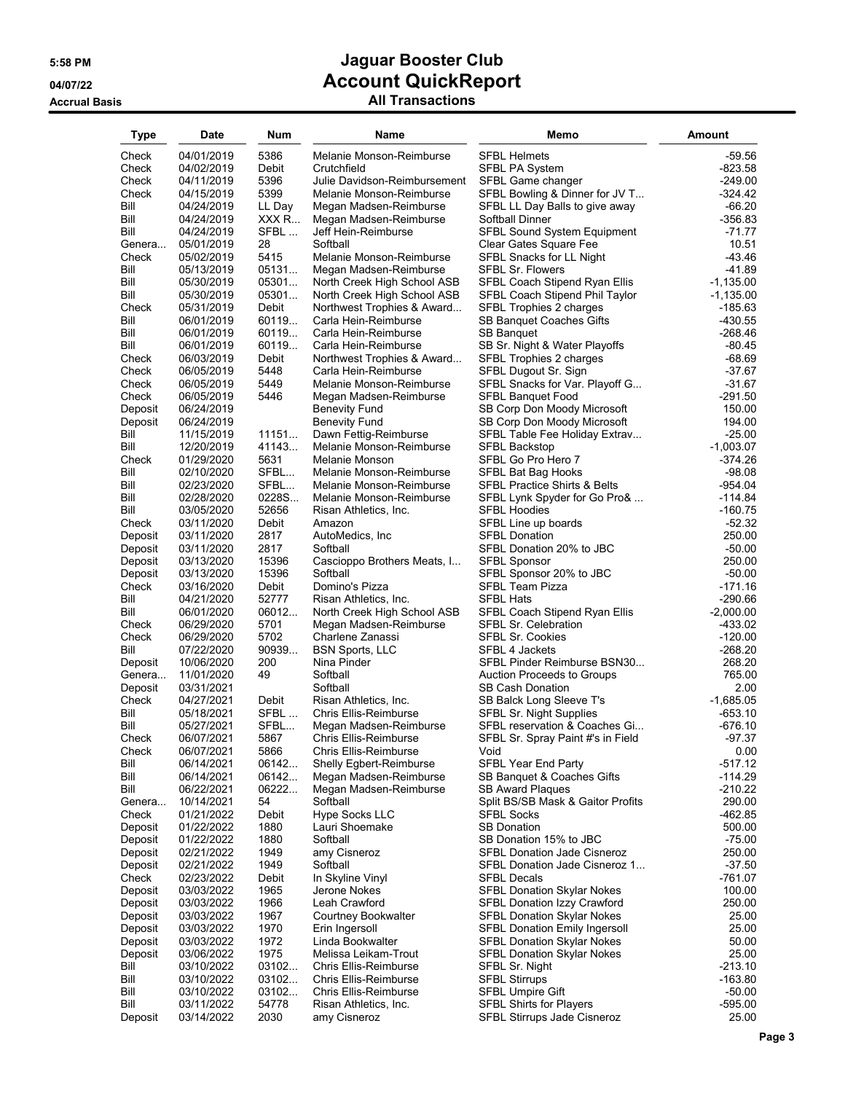| Type               | Date                     | Num            | Name                                    | Memo                                                                    | Amount             |
|--------------------|--------------------------|----------------|-----------------------------------------|-------------------------------------------------------------------------|--------------------|
| Check              | 04/01/2019               | 5386           | Melanie Monson-Reimburse                | <b>SFBL Helmets</b>                                                     | $-59.56$           |
| Check              | 04/02/2019               | Debit          | Crutchfield                             | <b>SFBL PA System</b>                                                   | $-823.58$          |
| Check              | 04/11/2019               | 5396           | Julie Davidson-Reimbursement            | SFBL Game changer                                                       | $-249.00$          |
| Check              | 04/15/2019               | 5399           | Melanie Monson-Reimburse                | SFBL Bowling & Dinner for JV T                                          | $-324.42$          |
| Bill               | 04/24/2019               | LL Day         | Megan Madsen-Reimburse                  | SFBL LL Day Balls to give away                                          | $-66.20$           |
| Bill               | 04/24/2019               | XXX R          | Megan Madsen-Reimburse                  | Softball Dinner                                                         | $-356.83$          |
| Bill               | 04/24/2019               | SFBL           | Jeff Hein-Reimburse                     | SFBL Sound System Equipment                                             | $-71.77$           |
| Genera             | 05/01/2019               | 28             | Softball                                | Clear Gates Square Fee                                                  | 10.51              |
| Check              | 05/02/2019               | 5415           | Melanie Monson-Reimburse                | SFBL Snacks for LL Night                                                | $-43.46$           |
| Bill               | 05/13/2019               | 05131          | Megan Madsen-Reimburse                  | <b>SFBL Sr. Flowers</b>                                                 | $-41.89$           |
| Bill               | 05/30/2019               | 05301          | North Creek High School ASB             | SFBL Coach Stipend Ryan Ellis                                           | $-1,135.00$        |
| Bill               | 05/30/2019               | 05301          | North Creek High School ASB             | SFBL Coach Stipend Phil Taylor                                          | $-1,135.00$        |
| Check              | 05/31/2019               | Debit          | Northwest Trophies & Award              | SFBL Trophies 2 charges                                                 | $-185.63$          |
| Bill               | 06/01/2019               | 60119          | Carla Hein-Reimburse                    | SB Banquet Coaches Gifts                                                | -430.55            |
| Bill               | 06/01/2019               | 60119          | Carla Hein-Reimburse                    | <b>SB Banquet</b>                                                       | $-268.46$          |
| Bill               | 06/01/2019               | 60119          | Carla Hein-Reimburse                    | SB Sr. Night & Water Playoffs                                           | $-80.45$           |
| Check              | 06/03/2019               | Debit          | Northwest Trophies & Award              | SFBL Trophies 2 charges                                                 | $-68.69$           |
| Check              | 06/05/2019               | 5448           | Carla Hein-Reimburse                    | SFBL Dugout Sr. Sign                                                    | $-37.67$           |
| Check              | 06/05/2019               | 5449           | Melanie Monson-Reimburse                | SFBL Snacks for Var. Playoff G                                          | $-31.67$           |
| Check              | 06/05/2019               | 5446           | Megan Madsen-Reimburse                  | SFBL Banquet Food                                                       | $-291.50$          |
| Deposit            | 06/24/2019               |                | <b>Benevity Fund</b>                    | SB Corp Don Moody Microsoft                                             | 150.00             |
| Deposit            | 06/24/2019               |                | <b>Benevity Fund</b>                    | SB Corp Don Moody Microsoft                                             | 194.00             |
| Bill               | 11/15/2019               | 11151          | Dawn Fettig-Reimburse                   | SFBL Table Fee Holiday Extrav                                           | $-25.00$           |
| Bill               | 12/20/2019               | 41143          | Melanie Monson-Reimburse                | <b>SFBL Backstop</b>                                                    | $-1,003.07$        |
| Check              | 01/29/2020               | 5631           | Melanie Monson                          | SFBL Go Pro Hero 7                                                      | -374.26            |
| Bill               | 02/10/2020               | SFBL           | Melanie Monson-Reimburse                | SFBL Bat Bag Hooks                                                      | $-98.08$           |
| Bill               | 02/23/2020               | SFBL           | Melanie Monson-Reimburse                | SFBL Practice Shirts & Belts                                            | $-954.04$          |
| Bill               | 02/28/2020               | 0228S          | Melanie Monson-Reimburse                | SFBL Lynk Spyder for Go Pro&                                            | $-114.84$          |
| Bill               | 03/05/2020               | 52656          | Risan Athletics, Inc.                   | <b>SFBL Hoodies</b>                                                     | $-160.75$          |
| Check              | 03/11/2020               | Debit          | Amazon                                  | SFBL Line up boards                                                     | $-52.32$           |
| Deposit            | 03/11/2020               | 2817           | AutoMedics, Inc.                        | <b>SFBL Donation</b>                                                    | 250.00             |
| Deposit            | 03/11/2020               | 2817           | Softball                                | SFBL Donation 20% to JBC                                                | $-50.00$           |
| Deposit            | 03/13/2020               | 15396<br>15396 | Cascioppo Brothers Meats, I<br>Softball | <b>SFBL Sponsor</b>                                                     | 250.00<br>$-50.00$ |
| Deposit<br>Check   | 03/13/2020<br>03/16/2020 | Debit          | Domino's Pizza                          | SFBL Sponsor 20% to JBC<br>SFBL Team Pizza                              | $-171.16$          |
| Bill               | 04/21/2020               | 52777          | Risan Athletics, Inc.                   | <b>SFBL Hats</b>                                                        | -290.66            |
| Bill               | 06/01/2020               | 06012          | North Creek High School ASB             | SFBL Coach Stipend Ryan Ellis                                           | $-2,000.00$        |
| Check              | 06/29/2020               | 5701           | Megan Madsen-Reimburse                  | <b>SFBL Sr. Celebration</b>                                             | -433.02            |
| Check              | 06/29/2020               | 5702           | Charlene Zanassi                        | SFBL Sr. Cookies                                                        | $-120.00$          |
| Bill               | 07/22/2020               | 90939          | <b>BSN Sports, LLC</b>                  | SFBL 4 Jackets                                                          | -268.20            |
| Deposit            | 10/06/2020               | 200            | Nina Pinder                             | SFBL Pinder Reimburse BSN30                                             | 268.20             |
| Genera             | 11/01/2020               | 49             | Softball                                | <b>Auction Proceeds to Groups</b>                                       | 765.00             |
| Deposit            | 03/31/2021               |                | Softball                                | <b>SB Cash Donation</b>                                                 | 2.00               |
| Check              | 04/27/2021               | Debit          | Risan Athletics, Inc.                   | SB Balck Long Sleeve T's                                                | $-1,685.05$        |
| Bill               | 05/18/2021               | SFBL           | <b>Chris Ellis-Reimburse</b>            | <b>SFBL Sr. Night Supplies</b>                                          | $-653.10$          |
| Bill               | 05/27/2021               | SFBL           | Megan Madsen-Reimburse                  | SFBL reservation & Coaches Gi                                           | $-676.10$          |
| Check              | 06/07/2021               | 5867           | Chris Ellis-Reimburse                   | SFBL Sr. Spray Paint #'s in Field                                       | $-97.37$           |
| Check              | 06/07/2021               | 5866           | Chris Ellis-Reimburse                   | Void                                                                    | 0.00               |
| Bill               | 06/14/2021               | 06142          | <b>Shelly Egbert-Reimburse</b>          | <b>SFBL Year End Party</b>                                              | $-517.12$          |
| Bill               | 06/14/2021               | 06142          | Megan Madsen-Reimburse                  | SB Banquet & Coaches Gifts                                              | $-114.29$          |
| Bill               | 06/22/2021               | 06222          | Megan Madsen-Reimburse                  | <b>SB Award Plaques</b>                                                 | $-210.22$          |
| Genera             | 10/14/2021               | 54             | Softball                                | Split BS/SB Mask & Gaitor Profits                                       | 290.00             |
| Check              | 01/21/2022               | Debit          | Hype Socks LLC                          | <b>SFBL Socks</b>                                                       | $-462.85$          |
| Deposit            | 01/22/2022               | 1880           | Lauri Shoemake                          | <b>SB Donation</b>                                                      | 500.00             |
| Deposit            | 01/22/2022               | 1880           | Softball                                | SB Donation 15% to JBC                                                  | $-75.00$           |
| Deposit            | 02/21/2022               | 1949           | amy Cisneroz                            | <b>SFBL Donation Jade Cisneroz</b>                                      | 250.00             |
| Deposit            | 02/21/2022               | 1949           | Softball                                | SFBL Donation Jade Cisneroz 1                                           | $-37.50$           |
| Check              | 02/23/2022               | Debit          | In Skyline Vinyl                        | <b>SFBL Decals</b>                                                      | $-761.07$          |
| Deposit            | 03/03/2022               | 1965           | Jerone Nokes                            | <b>SFBL Donation Skylar Nokes</b>                                       | 100.00             |
| Deposit<br>Deposit | 03/03/2022               | 1966           | Leah Crawford<br>Courtney Bookwalter    | <b>SFBL Donation Izzy Crawford</b><br><b>SFBL Donation Skylar Nokes</b> | 250.00             |
|                    | 03/03/2022<br>03/03/2022 | 1967<br>1970   |                                         | <b>SFBL Donation Emily Ingersoll</b>                                    | 25.00<br>25.00     |
| Deposit<br>Deposit | 03/03/2022               | 1972           | Erin Ingersoll<br>Linda Bookwalter      | <b>SFBL Donation Skylar Nokes</b>                                       | 50.00              |
| Deposit            | 03/06/2022               | 1975           | Melissa Leikam-Trout                    | SFBL Donation Skylar Nokes                                              | 25.00              |
| Bill               | 03/10/2022               | 03102          | <b>Chris Ellis-Reimburse</b>            | SFBL Sr. Night                                                          | $-213.10$          |
| Bill               | 03/10/2022               | 03102          | Chris Ellis-Reimburse                   | <b>SFBL Stirrups</b>                                                    | $-163.80$          |
| Bill               | 03/10/2022               | 03102          | <b>Chris Ellis-Reimburse</b>            | <b>SFBL Umpire Gift</b>                                                 | $-50.00$           |
| Bill               | 03/11/2022               | 54778          | Risan Athletics, Inc.                   | <b>SFBL Shirts for Players</b>                                          | $-595.00$          |
| Deposit            | 03/14/2022               | 2030           | amy Cisneroz                            | SFBL Stirrups Jade Cisneroz                                             | 25.00              |